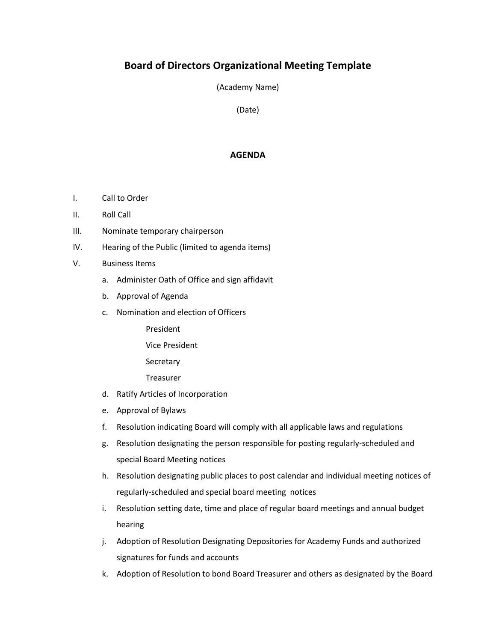## **Board of Directors Organizational Meeting Template**

(Academy Name)

(Date)

## **AGENDA**

- I. Call to Order
- II. Roll Call
- III. Nominate temporary chairperson
- IV. Hearing of the Public (limited to agenda items)
- V. Business Items
	- a. Administer Oath of Office and sign affidavit
	- b. Approval of Agenda
	- c. Nomination and election of Officers
		- President
		- Vice President
		- Secretary
		- **Treasurer**
	- d. Ratify Articles of Incorporation
	- e. Approval of Bylaws
	- f. Resolution indicating Board will comply with all applicable laws and regulations
	- g. Resolution designating the person responsible for posting regularly-scheduled and special Board Meeting notices
	- h. Resolution designating public places to post calendar and individual meeting notices of regularly-scheduled and special board meeting notices
	- i. Resolution setting date, time and place of regular board meetings and annual budget hearing
	- j. Adoption of Resolution Designating Depositories for Academy Funds and authorized signatures for funds and accounts
	- k. Adoption of Resolution to bond Board Treasurer and others as designated by the Board